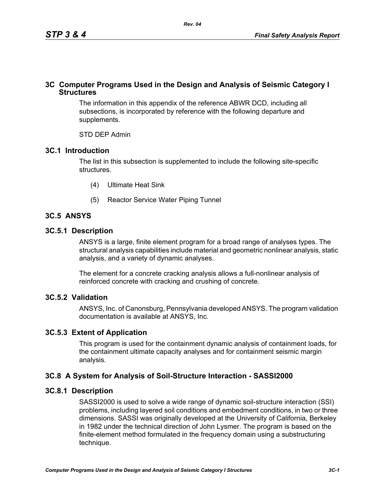# **3C Computer Programs Used in the Design and Analysis of Seismic Category I Structures**

The information in this appendix of the reference ABWR DCD, including all subsections, is incorporated by reference with the following departure and supplements.

STD DEP Admin

# **3C.1 Introduction**

The list in this subsection is supplemented to include the following site-specific structures.

- (4) Ultimate Heat Sink
- (5) Reactor Service Water Piping Tunnel

# **3C.5 ANSYS**

# **3C.5.1 Description**

ANSYS is a large, finite element program for a broad range of analyses types. The structural analysis capabilities include material and geometric nonlinear analysis, static analysis, and a variety of dynamic analyses.

The element for a concrete cracking analysis allows a full-nonlinear analysis of reinforced concrete with cracking and crushing of concrete.

# **3C.5.2 Validation**

ANSYS, Inc. of Canonsburg, Pennsylvania developed ANSYS. The program validation documentation is available at ANSYS, Inc.

# **3C.5.3 Extent of Application**

This program is used for the containment dynamic analysis of containment loads, for the containment ultimate capacity analyses and for containment seismic margin analysis.

# **3C.8 A System for Analysis of Soil-Structure Interaction - SASSI2000**

# **3C.8.1 Description**

SASSI2000 is used to solve a wide range of dynamic soil-structure interaction (SSI) problems, including layered soil conditions and embedment conditions, in two or three dimensions. SASSI was originally developed at the University of California, Berkeley in 1982 under the technical direction of John Lysmer. The program is based on the finite-element method formulated in the frequency domain using a substructuring technique.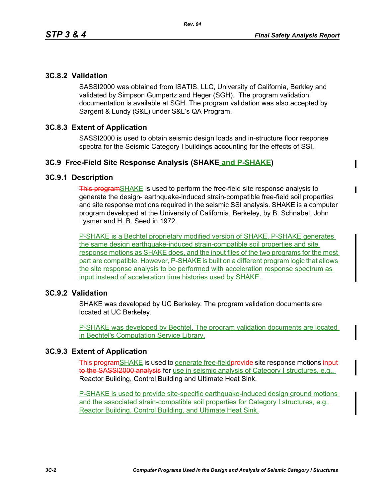# **3C.8.2 Validation**

SASSI2000 was obtained from ISATIS, LLC, University of California, Berkley and validated by Simpson Gumpertz and Heger (SGH). The program validation documentation is available at SGH. The program validation was also accepted by Sargent & Lundy (S&L) under S&L's QA Program.

# **3C.8.3 Extent of Application**

SASSI2000 is used to obtain seismic design loads and in-structure floor response spectra for the Seismic Category I buildings accounting for the effects of SSI.

### **3C.9 Free-Field Site Response Analysis (SHAKE and P-SHAKE)**

#### **3C.9.1 Description**

This programSHAKE is used to perform the free-field site response analysis to generate the design- earthquake-induced strain-compatible free-field soil properties and site response motions required in the seismic SSI analysis. SHAKE is a computer program developed at the University of California, Berkeley, by B. Schnabel, John Lysmer and H. B. Seed in 1972.

P-SHAKE is a Bechtel proprietary modified version of SHAKE. P-SHAKE generates the same design earthquake-induced strain-compatible soil properties and site response motions as SHAKE does, and the input files of the two programs for the most part are compatible. However, P-SHAKE is built on a different program logic that allows the site response analysis to be performed with acceleration response spectrum as input instead of acceleration time histories used by SHAKE.

#### **3C.9.2 Validation**

SHAKE was developed by UC Berkeley. The program validation documents are located at UC Berkeley.

P-SHAKE was developed by Bechtel. The program validation documents are located in Bechtel's Computation Service Library.

#### **3C.9.3 Extent of Application**

This programSHAKE is used to generate free-field provide site response motions inputto the SASSI2000 analysis for use in seismic analysis of Category I structures, e.g., Reactor Building, Control Building and Ultimate Heat Sink.

P-SHAKE is used to provide site-specific earthquake-induced design ground motions and the associated strain-compatible soil properties for Category I structures, e.g., Reactor Building, Control Building, and Ultimate Heat Sink.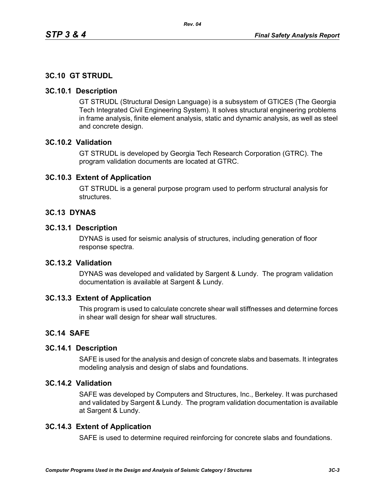# **3C.10 GT STRUDL**

#### **3C.10.1 Description**

GT STRUDL (Structural Design Language) is a subsystem of GTICES (The Georgia Tech Integrated Civil Engineering System). It solves structural engineering problems in frame analysis, finite element analysis, static and dynamic analysis, as well as steel and concrete design.

# **3C.10.2 Validation**

GT STRUDL is developed by Georgia Tech Research Corporation (GTRC). The program validation documents are located at GTRC.

### **3C.10.3 Extent of Application**

GT STRUDL is a general purpose program used to perform structural analysis for structures.

### **3C.13 DYNAS**

#### **3C.13.1 Description**

DYNAS is used for seismic analysis of structures, including generation of floor response spectra.

# **3C.13.2 Validation**

DYNAS was developed and validated by Sargent & Lundy. The program validation documentation is available at Sargent & Lundy.

#### **3C.13.3 Extent of Application**

This program is used to calculate concrete shear wall stiffnesses and determine forces in shear wall design for shear wall structures.

#### **3C.14 SAFE**

#### **3C.14.1 Description**

SAFE is used for the analysis and design of concrete slabs and basemats. It integrates modeling analysis and design of slabs and foundations.

# **3C.14.2 Validation**

SAFE was developed by Computers and Structures, Inc., Berkeley. It was purchased and validated by Sargent & Lundy. The program validation documentation is available at Sargent & Lundy.

#### **3C.14.3 Extent of Application**

SAFE is used to determine required reinforcing for concrete slabs and foundations.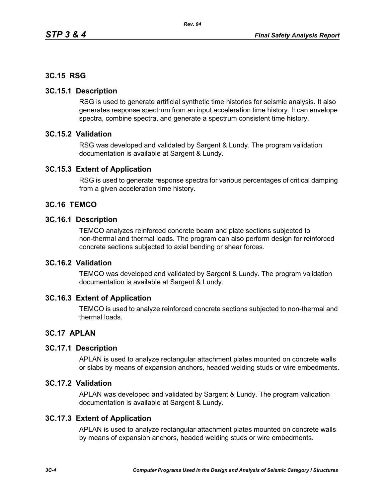## **3C.15 RSG**

#### **3C.15.1 Description**

RSG is used to generate artificial synthetic time histories for seismic analysis. It also generates response spectrum from an input acceleration time history. It can envelope spectra, combine spectra, and generate a spectrum consistent time history.

#### **3C.15.2 Validation**

RSG was developed and validated by Sargent & Lundy. The program validation documentation is available at Sargent & Lundy.

#### **3C.15.3 Extent of Application**

RSG is used to generate response spectra for various percentages of critical damping from a given acceleration time history.

#### **3C.16 TEMCO**

#### **3C.16.1 Description**

TEMCO analyzes reinforced concrete beam and plate sections subjected to non-thermal and thermal loads. The program can also perform design for reinforced concrete sections subjected to axial bending or shear forces.

# **3C.16.2 Validation**

TEMCO was developed and validated by Sargent & Lundy. The program validation documentation is available at Sargent & Lundy.

#### **3C.16.3 Extent of Application**

TEMCO is used to analyze reinforced concrete sections subjected to non-thermal and thermal loads.

#### **3C.17 APLAN**

#### **3C.17.1 Description**

APLAN is used to analyze rectangular attachment plates mounted on concrete walls or slabs by means of expansion anchors, headed welding studs or wire embedments.

#### **3C.17.2 Validation**

APLAN was developed and validated by Sargent & Lundy. The program validation documentation is available at Sargent & Lundy.

#### **3C.17.3 Extent of Application**

APLAN is used to analyze rectangular attachment plates mounted on concrete walls by means of expansion anchors, headed welding studs or wire embedments.